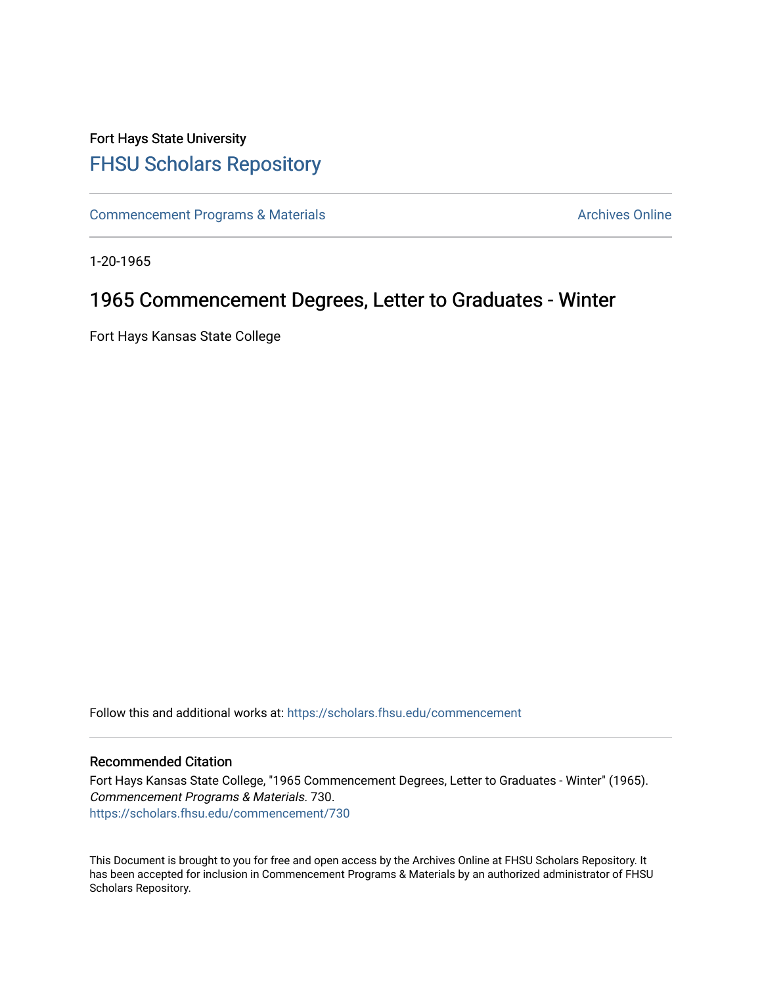## Fort Hays State University [FHSU Scholars Repository](https://scholars.fhsu.edu/)

[Commencement Programs & Materials](https://scholars.fhsu.edu/commencement) **Archives Online** Archives Online

1-20-1965

## 1965 Commencement Degrees, Letter to Graduates - Winter

Fort Hays Kansas State College

Follow this and additional works at: [https://scholars.fhsu.edu/commencement](https://scholars.fhsu.edu/commencement?utm_source=scholars.fhsu.edu%2Fcommencement%2F730&utm_medium=PDF&utm_campaign=PDFCoverPages)

## Recommended Citation

Fort Hays Kansas State College, "1965 Commencement Degrees, Letter to Graduates - Winter" (1965). Commencement Programs & Materials. 730. [https://scholars.fhsu.edu/commencement/730](https://scholars.fhsu.edu/commencement/730?utm_source=scholars.fhsu.edu%2Fcommencement%2F730&utm_medium=PDF&utm_campaign=PDFCoverPages)

This Document is brought to you for free and open access by the Archives Online at FHSU Scholars Repository. It has been accepted for inclusion in Commencement Programs & Materials by an authorized administrator of FHSU Scholars Repository.